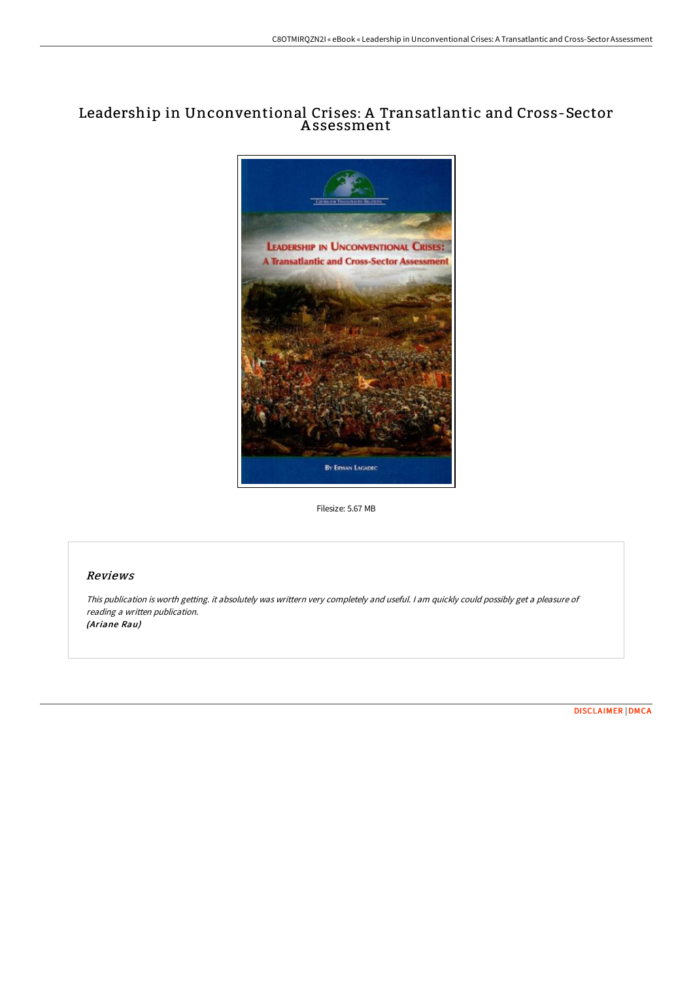# Leadership in Unconventional Crises: A Transatlantic and Cross-Sector A ssessment



Filesize: 5.67 MB

### Reviews

This publication is worth getting. it absolutely was writtern very completely and useful. <sup>I</sup> am quickly could possibly get <sup>a</sup> pleasure of reading <sup>a</sup> written publication. (Ariane Rau)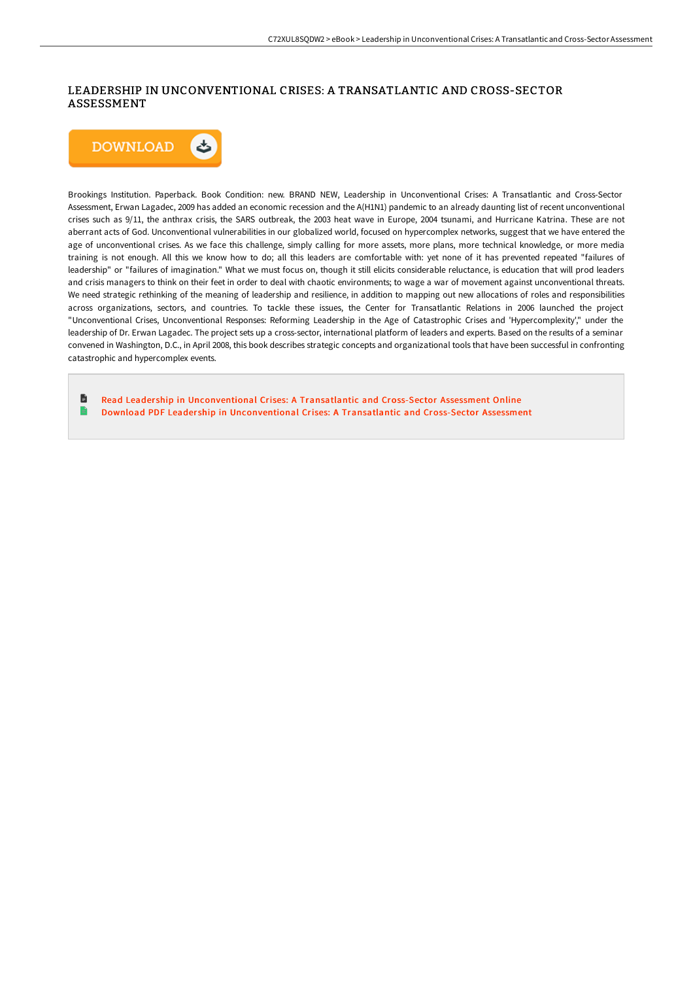## LEADERSHIP IN UNCONVENTIONAL CRISES: A TRANSATLANTIC AND CROSS-SECTOR ASSESSMENT



Brookings Institution. Paperback. Book Condition: new. BRAND NEW, Leadership in Unconventional Crises: A Transatlantic and Cross-Sector Assessment, Erwan Lagadec, 2009 has added an economic recession and the A(H1N1) pandemic to an already daunting list of recent unconventional crises such as 9/11, the anthrax crisis, the SARS outbreak, the 2003 heat wave in Europe, 2004 tsunami, and Hurricane Katrina. These are not aberrant acts of God. Unconventional vulnerabilities in our globalized world, focused on hypercomplex networks, suggest that we have entered the age of unconventional crises. As we face this challenge, simply calling for more assets, more plans, more technical knowledge, or more media training is not enough. All this we know how to do; all this leaders are comfortable with: yet none of it has prevented repeated "failures of leadership" or "failures of imagination." What we must focus on, though it still elicits considerable reluctance, is education that will prod leaders and crisis managers to think on their feet in order to deal with chaotic environments; to wage a war of movement against unconventional threats. We need strategic rethinking of the meaning of leadership and resilience, in addition to mapping out new allocations of roles and responsibilities across organizations, sectors, and countries. To tackle these issues, the Center for Transatlantic Relations in 2006 launched the project "Unconventional Crises, Unconventional Responses: Reforming Leadership in the Age of Catastrophic Crises and 'Hypercomplexity'," under the leadership of Dr. Erwan Lagadec. The project sets up a cross-sector, international platform of leaders and experts. Based on the results of a seminar convened in Washington, D.C., in April 2008, this book describes strategic concepts and organizational tools that have been successful in confronting catastrophic and hypercomplex events.

旨 Read Leader ship in [Unconventional](http://albedo.media/leadership-in-unconventional-crises-a-transatlan.html) Crises: A Transatlantic and Cross-Sector Assessment Online B Download PDF Leader ship in [Unconventional](http://albedo.media/leadership-in-unconventional-crises-a-transatlan.html) Crises: A Transatlantic and Cross-Sector Assessment